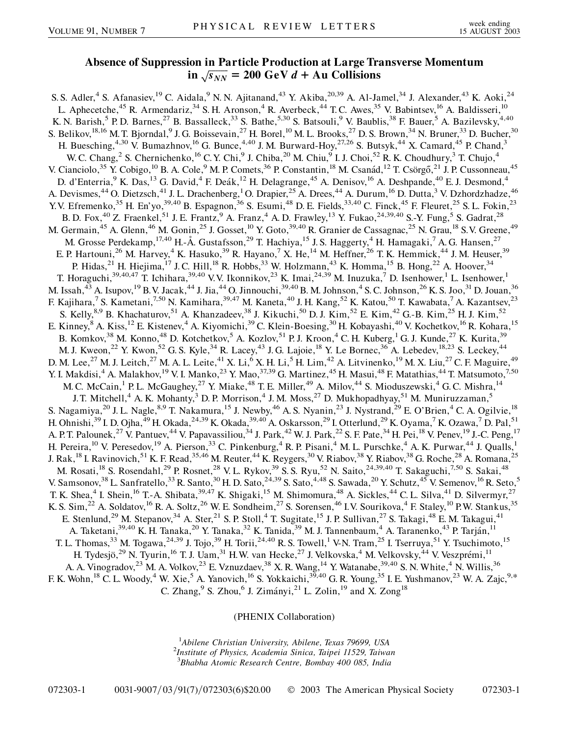## **Absence of Suppression in Particle Production at Large Transverse Momentum**  $\sin$   $\frac{1}{\sqrt{s_{NN}}}$  = 200 GeV *d* + Au Collisions

S. S. Adler,<sup>4</sup> S. Afanasiev,<sup>19</sup> C. Aidala,<sup>9</sup> N. N. Ajitanand,<sup>43</sup> Y. Akiba,<sup>20,39</sup> A. Al-Jamel,<sup>34</sup> J. Alexander,<sup>43</sup> K. Aoki,<sup>24</sup> L. Aphecetche,<sup>45</sup> R. Armendariz,<sup>34</sup> S. H. Aronson,<sup>4</sup> R. Averbeck,<sup>44</sup> T. C. Awes,<sup>35</sup> V. Babintsev,<sup>16</sup> A. Baldisseri,<sup>10</sup> K. N. Barish,<sup>5</sup> P. D. Barnes,<sup>27</sup> B. Bassalleck,<sup>33</sup> S. Bathe,<sup>5,30</sup> S. Batsouli,<sup>9</sup> V. Baublis,<sup>38</sup> F. Bauer,<sup>5</sup> A. Bazilevsky,<sup>4,40</sup> S. Belikov,  $^{18,16}$  M. T. Bjorndal,  $^9$  J. G. Boissevain,  $^{27}$  H. Borel,  $^{10}$  M. L. Brooks,  $^{27}$  D. S. Brown,  $^{34}$  N. Bruner,  $^{33}$  D. Bucher,  $^{30}$ H. Buesching,<sup>4,30</sup> V. Bumazhnov,<sup>16</sup> G. Bunce,<sup>4,40</sup> J. M. Burward-Hoy,<sup>27,26</sup> S. Butsyk,<sup>44</sup> X. Camard,<sup>45</sup> P. Chand,<sup>3</sup> W. C. Chang, <sup>2</sup> S. Chernichenko, <sup>16</sup> C. Y. Chi, <sup>9</sup> J. Chiba, <sup>20</sup> M. Chiu, <sup>9</sup> I. J. Choi, <sup>52</sup> R. K. Choudhury, <sup>3</sup> T. Chujo, <sup>4</sup> V. Cianciolo,<sup>35</sup> Y. Cobigo,<sup>10</sup> B. A. Cole,<sup>9</sup> M. P. Comets,<sup>36</sup> P. Constantin,<sup>18</sup> M. Csanád,<sup>12</sup> T. Csörgő,<sup>21</sup> J. P. Cussonneau,<sup>45</sup> D. d'Enterria,<sup>9</sup> K. Das,<sup>13</sup> G. David,<sup>4</sup> F. Deák,<sup>12</sup> H. Delagrange,<sup>45</sup> A. Denisov,<sup>16</sup> A. Deshpande,<sup>40</sup> E. J. Desmond,<sup>4</sup> A. Devismes,<sup>44</sup> O. Dietzsch,<sup>41</sup> J. L. Drachenberg,<sup>1</sup> O. Drapier,<sup>25</sup> A. Drees,<sup>44</sup> A. Durum,<sup>16</sup> D. Dutta,<sup>3</sup> V. Dzhordzhadze,<sup>46</sup> Y.V. Efremenko,<sup>35</sup> H. En'yo,<sup>39,40</sup> B. Espagnon,<sup>36</sup> S. Esumi,<sup>48</sup> D. E. Fields,<sup>33,40</sup> C. Finck,<sup>45</sup> F. Fleuret,<sup>25</sup> S. L. Fokin,<sup>23</sup> B. D. Fox,<sup>40</sup> Z. Fraenkel,<sup>51</sup> J. E. Frantz,<sup>9</sup> A. Franz,<sup>4</sup> A. D. Frawley,<sup>13</sup> Y. Fukao,<sup>24,39,40</sup> S.-Y. Fung,<sup>5</sup> S. Gadrat,<sup>28</sup> M. Germain,<sup>45</sup> A. Glenn,<sup>46</sup> M. Gonin,<sup>25</sup> J. Gosset,<sup>10</sup> Y. Goto,<sup>39,40</sup> R. Granier de Cassagnac,<sup>25</sup> N. Grau,<sup>18</sup> S.V. Greene,<sup>49</sup> M. Grosse Perdekamp, <sup>17,40</sup> H.-Å. Gustafsson, <sup>29</sup> T. Hachiya, <sup>15</sup> J. S. Haggerty, <sup>4</sup> H. Hamagaki, <sup>7</sup> A. G. Hansen, <sup>27</sup> E. P. Hartouni,<sup>26</sup> M. Harvey,<sup>4</sup> K. Hasuko,<sup>39</sup> R. Hayano,<sup>7</sup> X. He,<sup>14</sup> M. Heffner,<sup>26</sup> T. K. Hemmick,<sup>44</sup> J. M. Heuser,<sup>39</sup> P. Hidas,<sup>21</sup> H. Hiejima,<sup>17</sup> J. C. Hill,<sup>18</sup> R. Hobbs,<sup>33</sup> W. Holzmann,<sup>43</sup> K. Homma,<sup>15</sup> B. Hong,<sup>22</sup> A. Hoover,<sup>34</sup> T. Horaguchi,<sup>39,40,47</sup> T. Ichihara,<sup>39,40</sup> V.V. Ikonnikov,<sup>23</sup> K. Imai,<sup>24,39</sup> M. Inuzuka,<sup>7</sup> D. Isenhower,<sup>1</sup> L. Isenhower,<sup>1</sup> M. Issah, $^{43}$  A. Isupov, $^{19}$  B.V. Jacak, $^{44}$  J. Jia, $^{44}$  O. Jinnouchi, $^{39,40}$  B. M. Johnson, $^4$  S. C. Johnson, $^{26}$  K. S. Joo, $^{31}$  D. Jouan, $^{36}$ F. Kajihara,<sup>7</sup> S. Kametani,<sup>7,50</sup> N. Kamihara,<sup>39,47</sup> M. Kaneta,<sup>40</sup> J. H. Kang,<sup>52</sup> K. Katou,<sup>50</sup> T. Kawabata,<sup>7</sup> A. Kazantsev,<sup>23</sup> S. Kelly,<sup>8,9</sup> B. Khachaturov,<sup>51</sup> A. Khanzadeev,<sup>38</sup> J. Kikuchi,<sup>50</sup> D. J. Kim,<sup>52</sup> E. Kim,<sup>42</sup> G.-B. Kim,<sup>25</sup> H. J. Kim,<sup>52</sup> E. Kinney, <sup>8</sup> A. Kiss, <sup>12</sup> E. Kistenev, <sup>4</sup> A. Kiyomichi, <sup>39</sup> C. Klein-Boesing, <sup>30</sup> H. Kobayashi, <sup>40</sup> V. Kochetkov, <sup>16</sup> R. Kohara, <sup>15</sup> B. Komkov,<sup>38</sup> M. Konno,<sup>48</sup> D. Kotchetkov,<sup>5</sup> A. Kozlov,<sup>51</sup> P. J. Kroon,<sup>4</sup> C. H. Kuberg,<sup>1</sup> G. J. Kunde,<sup>27</sup> K. Kurita,<sup>39</sup> M. J. Kweon,<sup>22</sup> Y. Kwon,<sup>52</sup> G. S. Kyle,<sup>34</sup> R. Lacey,<sup>43</sup> J. G. Lajoie,<sup>18</sup> Y. Le Bornec,<sup>36</sup> A. Lebedev,<sup>18,23</sup> S. Leckey,<sup>44</sup> D. M. Lee,<sup>27</sup> M. J. Leitch,<sup>27</sup> M. A. L. Leite,<sup>41</sup> X. Li,<sup>6</sup> X. H. Li,<sup>5</sup> H. Lim,<sup>42</sup> A. Litvinenko,<sup>19</sup> M. X. Liu,<sup>27</sup> C. F. Maguire,<sup>49</sup> Y. I. Makdisi,<sup>4</sup> A. Malakhov,<sup>19</sup> V. I. Manko,<sup>23</sup> Y. Mao,<sup>37,39</sup> G. Martinez,<sup>45</sup> H. Masui,<sup>48</sup> F. Matathias,<sup>44</sup> T. Matsumoto,<sup>7,50</sup> M. C. McCain,<sup>1</sup> P. L. McGaughey,<sup>27</sup> Y. Miake,<sup>48</sup> T. E. Miller,<sup>49</sup> A. Milov,<sup>44</sup> S. Mioduszewski,<sup>4</sup> G. C. Mishra,<sup>14</sup> J. T. Mitchell,<sup>4</sup> A. K. Mohanty,<sup>3</sup> D. P. Morrison,<sup>4</sup> J. M. Moss,<sup>27</sup> D. Mukhopadhyay,<sup>51</sup> M. Muniruzzaman,<sup>5</sup> S. Nagamiya,<sup>20</sup> J. L. Nagle,<sup>8,9</sup> T. Nakamura,<sup>15</sup> J. Newby,<sup>46</sup> A. S. Nyanin,<sup>23</sup> J. Nystrand,<sup>29</sup> E. O'Brien,<sup>4</sup> C. A. Ogilvie,<sup>18</sup> H. Ohnishi,<sup>39</sup> I. D. Ojha,<sup>49</sup> H. Okada,<sup>24,39</sup> K. Okada,<sup>39,40</sup> A. Oskarsson,<sup>29</sup> I. Otterlund,<sup>29</sup> K. Oyama,<sup>7</sup> K. Ozawa,<sup>7</sup> D. Pal,<sup>51</sup> A. P.T. Palounek,<sup>27</sup> V. Pantuev,<sup>44</sup> V. Papavassiliou,<sup>34</sup> J. Park,<sup>42</sup> W. J. Park,<sup>22</sup> S. F. Pate,<sup>34</sup> H. Pei,<sup>18</sup> V. Penev,<sup>19</sup> J.-C. Peng,<sup>17</sup> H. Pereira, <sup>10</sup> V. Peresedov, <sup>19</sup> A. Pierson, <sup>33</sup> C. Pinkenburg, <sup>4</sup> R. P. Pisani, <sup>4</sup> M. L. Purschke, <sup>4</sup> A. K. Purwar, <sup>44</sup> J. Qualls, <sup>1</sup> J. Rak,<sup>18</sup> I. Ravinovich,<sup>51</sup> K. F. Read,<sup>35,46</sup> M. Reuter,<sup>44</sup> K. Reygers,<sup>30</sup> V. Riabov,<sup>38</sup> Y. Riabov,<sup>38</sup> G. Roche,<sup>28</sup> A. Romana,<sup>25</sup> M. Rosati,<sup>18</sup> S. Rosendahl,<sup>29</sup> P. Rosnet,<sup>28</sup> V. L. Rykov,<sup>39</sup> S. S. Ryu,<sup>52</sup> N. Saito,<sup>24,39,40</sup> T. Sakaguchi,<sup>7,50</sup> S. Sakai,<sup>48</sup> V. Samsonov,<sup>38</sup> L. Sanfratello,<sup>33</sup> R. Santo,<sup>30</sup> H. D. Sato,<sup>24,39</sup> S. Sato,<sup>4,48</sup> S. Sawada,<sup>20</sup> Y. Schutz,<sup>45</sup> V. Semenov,<sup>16</sup> R. Seto,<sup>5</sup> T. K. Shea,<sup>4</sup> I. Shein,<sup>16</sup> T.-A. Shibata,<sup>39,47</sup> K. Shigaki,<sup>15</sup> M. Shimomura,<sup>48</sup> A. Sickles,<sup>44</sup> C. L. Silva,<sup>41</sup> D. Silvermyr,<sup>27</sup> K. S. Sim,<sup>22</sup> A. Soldatov,<sup>16</sup> R. A. Soltz,<sup>26</sup> W. E. Sondheim,<sup>27</sup> S. Sorensen,<sup>46</sup> I.V. Sourikova,<sup>4</sup> F. Staley,<sup>10</sup> P.W. Stankus,<sup>35</sup> E. Stenlund,<sup>29</sup> M. Stepanov,<sup>34</sup> A. Ster,<sup>21</sup> S. P. Stoll,<sup>4</sup> T. Sugitate,<sup>15</sup> J. P. Sullivan,<sup>27</sup> S. Takagi,<sup>48</sup> E. M. Takagui,<sup>41</sup> A. Taketani,<sup>39,40</sup> K. H. Tanaka,<sup>20</sup> Y. Tanaka,<sup>32</sup> K. Tanida,<sup>39</sup> M. J. Tannenbaum,<sup>4</sup> A. Taranenko,<sup>43</sup> P. Tarján,<sup>11</sup> T. L. Thomas,<sup>33</sup> M. Togawa,<sup>24,39</sup> J. Tojo,<sup>39</sup> H. Torii,<sup>24,40</sup> R. S. Towell,<sup>1</sup> V-N. Tram,<sup>25</sup> I. Tserruya,<sup>51</sup> Y. Tsuchimoto,<sup>15</sup> H. Tydesjö,<sup>29</sup> N. Tyurin,<sup>16</sup> T. J. Uam,<sup>31</sup> H.W. van Hecke,<sup>27</sup> J. Velkovska,<sup>4</sup> M. Velkovsky,<sup>44</sup> V. Veszprémi,<sup>11</sup> A. A. Vinogradov,<sup>23</sup> M. A. Volkov,<sup>23</sup> E. Vznuzdaev,<sup>38</sup> X. R. Wang,<sup>14</sup> Y. Watanabe,<sup>39,40</sup> S. N. White,<sup>4</sup> N. Willis,<sup>36</sup> F. K. Wohn,<sup>18</sup> C. L. Woody,<sup>4</sup> W. Xie,<sup>5</sup> A. Yanovich,<sup>16</sup> S. Yokkaichi,<sup>39,40</sup> G. R. Young,<sup>35</sup> I. E. Yushmanov,<sup>23</sup> W. A. Zajc,<sup>9,\*</sup> C. Zhang,  $9$  S. Zhou,  $6$  J. Zimányi,  $^{21}$  L. Zolin,  $^{19}$  and X. Zong  $^{18}$ 

(PHENIX Collaboration)

<sup>1</sup> Abilene Christian University, Abilene, Texas 79699, USA<br><sup>2</sup>Institute of Physics, Academia Sinica, Tringi 11520, Tringa *Institute of Physics, Academia Sinica, Taipei 11529, Taiwan* 3 *Bhabha Atomic Research Centre, Bombay 400 085, India*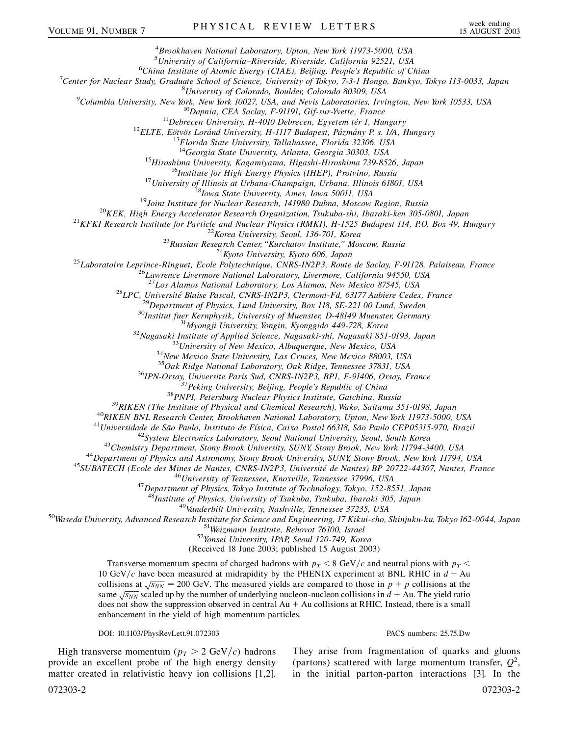4 *Brookhaven National Laboratory, Upton, New York 11973-5000, USA*

<sup>5</sup> University of California–Riverside, Riverside, California 92521, USA<br><sup>6</sup>China Institute of Atomia Fragmy (CIAE), Paijing, People's Papublic of C

*China Institute of Atomic Energy (CIAE), Beijing, People's Republic of China* <sup>7</sup>

*Center for Nuclear Study, Graduate School of Science, University of Tokyo, 7-3-1 Hongo, Bunkyo, Tokyo 113-0033, Japan* <sup>8</sup>

<sup>9</sup>Columbia University, New York, New York 10027, USA, and Nevis Laboratories, Irvington, New York 10533, USA

<sup>10</sup>Dapnia, CEA Saclay, F-91191, Gif-sur-Yvette, France<br><sup>11</sup>Debrecen University, H-4010 Debrecen, Egyetem tér 1, Hungary<br><sup>12</sup>ELTE, Eötvös Loránd University, H-1117 Budapest, Pázmány P. s. 1/A, Hungary<br><sup>13</sup>Florida State Un

<sup>14</sup>Georgia State University, Atlanta, Georgia 30303, USA<br><sup>15</sup>Hiroshima University, Kagamiyama, Higashi-Hiroshima 739-8526, Japan<br><sup>16</sup>Institute for High Energy Physics (IHEP), Protvino, Russia<br><sup>17</sup>University of Illinois a

<sup>26</sup>Lawrence Livermore National Laboratory, Livermore, California 94550, USA<br><sup>27</sup>Los Alamos National Laboratory, Los Alamos, New Mexico 87545, USA<br><sup>28</sup>LPC, Université Blaise Pascal, CNRS-IN2P3, Clermont-Fd, 63177 Aubiere

 $\begin{array}{c} \text{^{35}Oak \; Ridge \; National \; Laboratory, \; Oak \; Ridge, \; Tennessee \; 37831, \; USA } \\ \text{^{36}IPN-Orsay, \; University} \; \text{University, \; Beijing, \; People's \; Republic \; of \; China \\ \text{^{37}Peking \; University, \; Beijing, \; People's \; Republic \; of \; China \\ \text{^{38}PNPI, \; Petersburg \; Nuclear \; Physics \; Institute, \; Gatchina, \; Russia \\ \text{^{39}RIKEN \; (The Institute of \; Physical \; and \; Chemical \; Research), \; Whato, \; Suitama \; 351-0198, \; Japan \\ \text{^{40}RIKEN$ 

<sup>47</sup>Department of Physics, Tokyo Institute of Technology, Tokyo, 152-8551, Japan<br><sup>48</sup>Institute of Physics, University of Tsukuba, Tsukuba, Ibaraki 305, Japan<br><sup>49</sup>Vanderbilt University, Nashville, Tennessee 37235, USA<br><sup>50</sup>

(Received 18 June 2003; published 15 August 2003)

Transverse momentum spectra of charged hadrons with  $p<sub>T</sub> < 8$  GeV/c and neutral pions with  $p<sub>T</sub>$ 10 GeV/c have been measured at midrapidity by the PHENIX experiment at BNL RHIC in  $d + Au$ collisions at  $\sqrt{s_{NN}}$  = 200 GeV. The measured yields are compared to those in *p* + *p* collisions at the same  $\sqrt{s_{NN}}$  scaled up by the number of underlying nucleon-nucleon collisions in  $d + Au$ . The yield ratio does not show the suppression observed in central  $Au + Au$  collisions at RHIC. Instead, there is a small enhancement in the yield of high momentum particles.

## DOI: 10.1103/PhysRevLett.91.072303 PACS numbers: 25.75.Dw

High transverse momentum ( $p_T > 2$  GeV/c) hadrons provide an excellent probe of the high energy density matter created in relativistic heavy ion collisions [1,2].

They arise from fragmentation of quarks and gluons (partons) scattered with large momentum transfer,  $Q^2$ , in the initial parton-parton interactions [3]. In the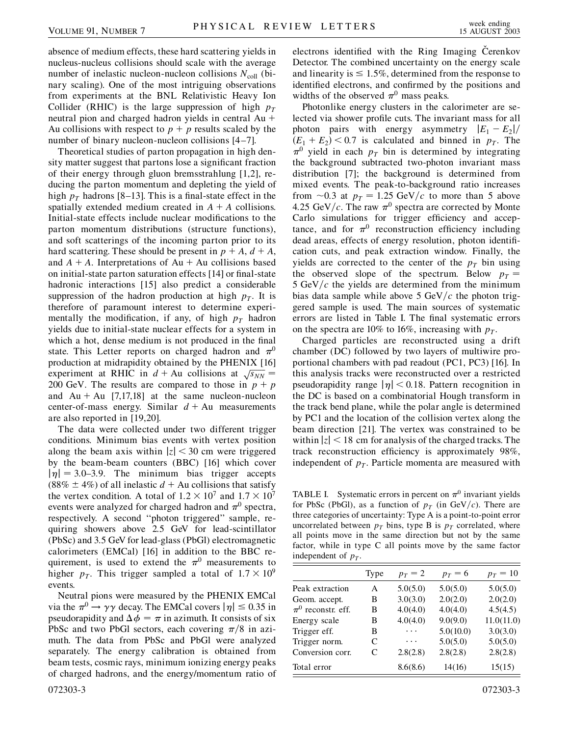absence of medium effects, these hard scattering yields in nucleus-nucleus collisions should scale with the average number of inelastic nucleon-nucleon collisions  $N_{\text{coll}}$  (binary scaling). One of the most intriguing observations from experiments at the BNL Relativistic Heavy Ion Collider (RHIC) is the large suppression of high  $p_T$ neutral pion and charged hadron yields in central Au Au collisions with respect to  $p + p$  results scaled by the number of binary nucleon-nucleon collisions [4–7].

Theoretical studies of parton propagation in high density matter suggest that partons lose a significant fraction of their energy through gluon bremsstrahlung [1,2], reducing the parton momentum and depleting the yield of high  $p_T$  hadrons [8–13]. This is a final-state effect in the spatially extended medium created in  $A + A$  collisions. Initial-state effects include nuclear modifications to the parton momentum distributions (structure functions), and soft scatterings of the incoming parton prior to its hard scattering. These should be present in  $p + A$ ,  $d + A$ , and  $A + A$ . Interpretations of  $Au + Au$  collisions based on initial-state parton saturation effects [14] or final-state hadronic interactions [15] also predict a considerable suppression of the hadron production at high  $p<sub>T</sub>$ . It is therefore of paramount interest to determine experimentally the modification, if any, of high  $p<sub>T</sub>$  hadron yields due to initial-state nuclear effects for a system in which a hot, dense medium is not produced in the final state. This Letter reports on charged hadron and  $\pi^0$ production at midrapidity obtained by the PHENIX [16] production at initial planty obtained by the FIENIX [10]<br>experiment at RHIC in  $d + Au$  collisions at  $\sqrt{s_{NN}} =$ 200 GeV. The results are compared to those in  $p + p$ and  $Au + Au$  [7,17,18] at the same nucleon-nucleon center-of-mass energy. Similar  $d + Au$  measurements are also reported in [19,20].

The data were collected under two different trigger conditions. Minimum bias events with vertex position along the beam axis within  $|z| < 30$  cm were triggered by the beam-beam counters (BBC) [16] which cover  $|\eta| = 3.0 - 3.9$ . The minimum bias trigger accepts (88%  $\pm$  4%) of all inelastic  $d$  + Au collisions that satisfy the vertex condition. A total of  $1.2 \times 10^7$  and  $1.7 \times 10^7$ events were analyzed for charged hadron and  $\pi^0$  spectra, respectively. A second ''photon triggered'' sample, requiring showers above 2.5 GeV for lead-scintillator (PbSc) and 3.5 GeV for lead-glass (PbGl) electromagnetic calorimeters (EMCal) [16] in addition to the BBC requirement, is used to extend the  $\pi^0$  measurements to higher  $p_T$ . This trigger sampled a total of  $1.7 \times 10^9$ events.

Neutral pions were measured by the PHENIX EMCal via the  $\pi^0 \rightarrow \gamma \gamma$  decay. The EMCal covers  $|\eta| \le 0.35$  in pseudorapidity and  $\Delta \phi = \pi$  in azimuth. It consists of six PbSc and two PbGl sectors, each covering  $\pi/8$  in azimuth. The data from PbSc and PbGl were analyzed separately. The energy calibration is obtained from beam tests, cosmic rays, minimum ionizing energy peaks of charged hadrons, and the energy/momentum ratio of electrons identified with the Ring Imaging Cerenkov Detector. The combined uncertainty on the energy scale and linearity is  $\leq 1.5\%$ , determined from the response to identified electrons, and confirmed by the positions and widths of the observed  $\pi^0$  mass peaks.

Photonlike energy clusters in the calorimeter are selected via shower profile cuts. The invariant mass for all photon pairs with energy asymmetry  $|E_1 - E_2|$  $(E_1 + E_2)$  < 0.7 is calculated and binned in *p<sub>T</sub>*. The  $\pi^0$  yield in each  $p_T$  bin is determined by integrating the background subtracted two-photon invariant mass distribution [7]; the background is determined from mixed events. The peak-to-background ratio increases from  $\sim$ 0.3 at  $p_T = 1.25 \text{ GeV}/c$  to more than 5 above 4.25 GeV/c. The raw  $\pi^0$  spectra are corrected by Monte Carlo simulations for trigger efficiency and acceptance, and for  $\pi^0$  reconstruction efficiency including dead areas, effects of energy resolution, photon identification cuts, and peak extraction window. Finally, the yields are corrected to the center of the  $p<sub>T</sub>$  bin using the observed slope of the spectrum. Below  $p_T =$  $5 \text{ GeV}/c$  the yields are determined from the minimum bias data sample while above 5  $GeV/c$  the photon triggered sample is used. The main sources of systematic errors are listed in Table I. The final systematic errors on the spectra are 10% to 16%, increasing with  $p_T$ .

Charged particles are reconstructed using a drift chamber (DC) followed by two layers of multiwire proportional chambers with pad readout (PC1, PC3) [16]. In this analysis tracks were reconstructed over a restricted pseudorapidity range  $|\eta|$  < 0.18. Pattern recognition in the DC is based on a combinatorial Hough transform in the track bend plane, while the polar angle is determined by PC1 and the location of the collision vertex along the beam direction [21]. The vertex was constrained to be within  $|z|$  < 18 cm for analysis of the charged tracks. The track reconstruction efficiency is approximately 98%, independent of  $p<sub>T</sub>$ . Particle momenta are measured with

TABLE I. Systematic errors in percent on  $\pi^0$  invariant yields for PbSc (PbGl), as a function of  $p<sub>T</sub>$  (in GeV/c). There are three categories of uncertainty: Type A is a point-to-point error uncorrelated between  $p_T$  bins, type B is  $p_T$  correlated, where all points move in the same direction but not by the same factor, while in type C all points move by the same factor independent of  $p_T$ .

|                        | Type | $p_T = 2$ | $p_T = 6$ | $p_T = 10$ |
|------------------------|------|-----------|-----------|------------|
| Peak extraction        | A    | 5.0(5.0)  | 5.0(5.0)  | 5.0(5.0)   |
| Geom. accept.          | B    | 3.0(3.0)  | 2.0(2.0)  | 2.0(2.0)   |
| $\pi^0$ reconstr. eff. | B    | 4.0(4.0)  | 4.0(4.0)  | 4.5(4.5)   |
| Energy scale           | В    | 4.0(4.0)  | 9.0(9.0)  | 11.0(11.0) |
| Trigger eff.           | В    | .         | 5.0(10.0) | 3.0(3.0)   |
| Trigger norm.          | C    | .         | 5.0(5.0)  | 5.0(5.0)   |
| Conversion corr.       | C    | 2.8(2.8)  | 2.8(2.8)  | 2.8(2.8)   |
| Total error            |      | 8.6(8.6)  | 14(16)    | 15(15)     |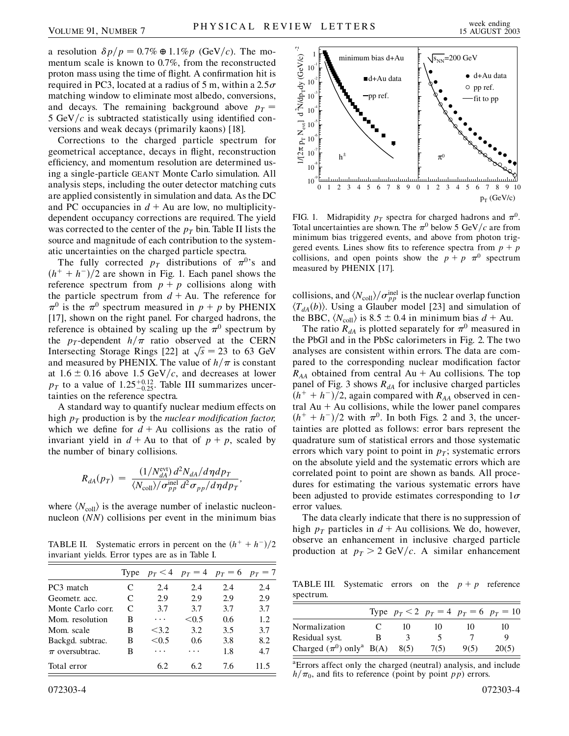a resolution  $\delta p/p = 0.7\% \oplus 1.1\% p$  (GeV/c). The momentum scale is known to 0.7%, from the reconstructed proton mass using the time of flight. A confirmation hit is required in PC3, located at a radius of 5 m, within a  $2.5\sigma$ matching window to eliminate most albedo, conversions, and decays. The remaining background above  $p_T =$ 5 GeV/ $c$  is subtracted statistically using identified conversions and weak decays (primarily kaons) [18].

Corrections to the charged particle spectrum for geometrical acceptance, decays in flight, reconstruction efficiency, and momentum resolution are determined using a single-particle GEANT Monte Carlo simulation. All analysis steps, including the outer detector matching cuts are applied consistently in simulation and data. As the DC and PC occupancies in  $d + Au$  are low, no multiplicitydependent occupancy corrections are required. The yield was corrected to the center of the  $p<sub>T</sub>$  bin. Table II lists the source and magnitude of each contribution to the systematic uncertainties on the charged particle spectra.

The fully corrected  $p_T$  distributions of  $\pi^{0}$ 's and  $(h^+ + h^-)/2$  are shown in Fig. 1. Each panel shows the reference spectrum from  $p + p$  collisions along with the particle spectrum from  $d + Au$ . The reference for  $\pi^0$  is the  $\pi^0$  spectrum measured in  $p + p$  by PHENIX [17], shown on the right panel. For charged hadrons, the reference is obtained by scaling up the  $\pi^0$  spectrum by the *p<sub>T</sub>*-dependent  $h/\pi$  ratio observed at the CERN Intersecting Storage Rings [22] at  $\sqrt{s}$  = 23 to 63 GeV and measured by PHENIX. The value of  $h/\pi$  is constant at  $1.6 \pm 0.16$  above 1.5 GeV/c, and decreases at lower  $p_T$  to a value of 1.25<sup>+0.12</sup><sub>-0.25</sub>. Table III summarizes uncertainties on the reference spectra.

A standard way to quantify nuclear medium effects on high  $p_T$  production is by the *nuclear modification factor*, which we define for  $d + Au$  collisions as the ratio of invariant yield in  $d + Au$  to that of  $p + p$ , scaled by the number of binary collisions.

$$
R_{dA}(p_T) = \frac{(1/N_{dA}^{\text{evt}}) d^2 N_{dA}/d\eta dp_T}{\langle N_{\text{coll}}\rangle/\sigma_{pp}^{\text{inel}} d^2 \sigma_{pp}/d\eta dp_T},
$$

where  $\langle N_{\text{coll}} \rangle$  is the average number of inelastic nucleonnucleon (*NN*) collisions per event in the minimum bias

**TABLE II.** Systematic errors in percent on the  $(h^+ + h^-)/2$ invariant yields. Error types are as in Table I.

|                    |   |       | Type $p_T < 4$ $p_T = 4$ $p_T = 6$ $p_T = 7$ |     |      |
|--------------------|---|-------|----------------------------------------------|-----|------|
| PC3 match          | C | 2.4   | 2.4                                          | 2.4 | 2.4  |
| Geometr. acc.      | C | 2.9   | 2.9                                          | 2.9 | 2.9  |
| Monte Carlo corr.  | C | 3.7   | 3.7                                          | 3.7 | 3.7  |
| Mom. resolution    | в | .     | < 0.5                                        | 0.6 | 1.2  |
| Mom. scale         | в | < 3.2 | 3.2                                          | 3.5 | 3.7  |
| Backgd. subtrac.   | B | < 0.5 | 0.6                                          | 3.8 | 8.2  |
| $\pi$ oversubtrac. | в | .     | .                                            | 1.8 | 4.7  |
| Total error        |   | 6.2   | 62                                           | 7.6 | 11.5 |



FIG. 1. Midrapidity  $p_T$  spectra for charged hadrons and  $\pi^0$ . Total uncertainties are shown. The  $\pi^0$  below 5 GeV/c are from minimum bias triggered events, and above from photon triggered events. Lines show fits to reference spectra from  $p + p$ collisions, and open points show the  $p + p \pi^0$  spectrum measured by PHENIX [17].

collisions, and  $\langle N_{\text{coll}} \rangle / \sigma_{pp}^{\text{inel}}$  is the nuclear overlap function  $\langle T_{dA}(b) \rangle$ . Using a Glauber model [23] and simulation of the BBC,  $\langle N_{\text{coll}} \rangle$  is 8.5  $\pm$  0.4 in minimum bias  $d + \text{Au}$ .

The ratio  $R_{dA}$  is plotted separately for  $\pi^0$  measured in the PbGl and in the PbSc calorimeters in Fig. 2. The two analyses are consistent within errors. The data are compared to the corresponding nuclear modification factor  $R_{AA}$  obtained from central Au + Au collisions. The top panel of Fig. 3 shows  $R_{dA}$  for inclusive charged particles  $(h^+ + h^-)/2$ , again compared with  $R_{AA}$  observed in central  $Au + Au$  collisions, while the lower panel compares  $(h^{+} + h^{-})/2$  with  $\pi^{0}$ . In both Figs. 2 and 3, the uncertainties are plotted as follows: error bars represent the quadrature sum of statistical errors and those systematic errors which vary point to point in  $p<sub>T</sub>$ ; systematic errors on the absolute yield and the systematic errors which are correlated point to point are shown as bands. All procedures for estimating the various systematic errors have been adjusted to provide estimates corresponding to  $1\sigma$ error values.

The data clearly indicate that there is no suppression of high  $p_T$  particles in  $d + Au$  collisions. We do, however, observe an enhancement in inclusive charged particle production at  $p_T > 2$  GeV/c. A similar enhancement

TABLE III. Systematic errors on the  $p + p$  reference spectrum.

|                                          |    |      |      |      | Type $p_T < 2$ $p_T = 4$ $p_T = 6$ $p_T = 10$ |
|------------------------------------------|----|------|------|------|-----------------------------------------------|
| Normalization                            | C. | 10   | 10   | 10   | 10                                            |
| Residual syst.                           | B  |      |      |      |                                               |
| Charged $(\pi^0)$ only <sup>a</sup> B(A) |    | 8(5) | 7(5) | 9(5) | 20(5)                                         |

<sup>a</sup> Errors affect only the charged (neutral) analysis, and include  $h/\pi_0$ , and fits to reference (point by point *pp*) errors.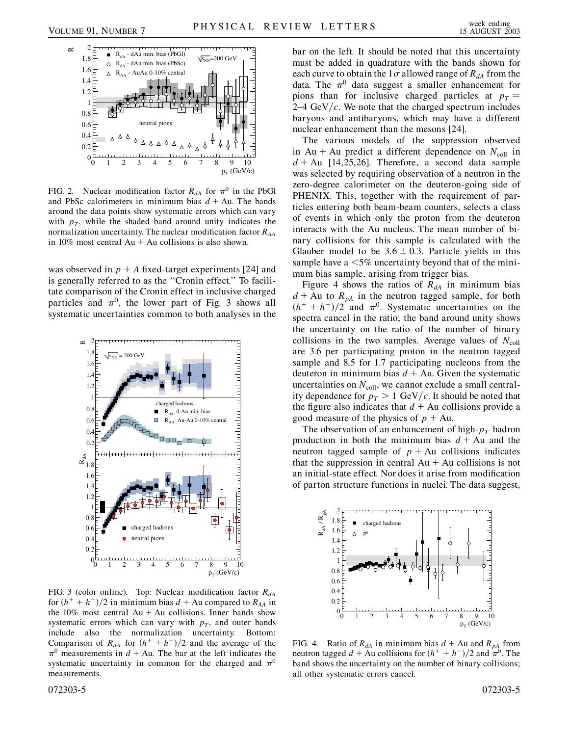

FIG. 2. Nuclear modification factor  $R_{dA}$  for  $\pi^0$  in the PbGl and PbSc calorimeters in minimum bias  $d + Au$ . The bands around the data points show systematic errors which can vary with  $p_T$ , while the shaded band around unity indicates the normalization uncertainty. The nuclear modification factor *RAA* in 10% most central  $Au + Au$  collisions is also shown.

was observed in  $p + A$  fixed-target experiments [24] and is generally referred to as the ''Cronin effect.'' To facilitate comparison of the Cronin effect in inclusive charged particles and  $\pi^0$ , the lower part of Fig. 3 shows all systematic uncertainties common to both analyses in the



FIG. 3 (color online). Top: Nuclear modification factor  $R_{dA}$ for  $(h^+ + h^-)/2$  in minimum bias  $d$  + Au compared to  $R_{AA}$  in the  $10\%$  most central Au + Au collisions. Inner bands show systematic errors which can vary with  $p<sub>T</sub>$ , and outer bands include also the normalization uncertainty. Bottom: Comparison of  $R_{dA}$  for  $(h^{+} + h^{-})/2$  and the average of the  $\pi^0$  measurements in  $d + Au$ . The bar at the left indicates the systematic uncertainty in common for the charged and  $\pi^0$ measurements.

bar on the left. It should be noted that this uncertainty must be added in quadrature with the bands shown for each curve to obtain the  $1\sigma$  allowed range of  $R_{dA}$  from the data. The  $\pi^0$  data suggest a smaller enhancement for pions than for inclusive charged particles at  $p_T =$  $2-4 \text{ GeV}/c$ . We note that the charged spectrum includes baryons and antibaryons, which may have a different nuclear enhancement than the mesons [24].

The various models of the suppression observed in Au + Au predict a different dependence on  $N_{\text{coll}}$  in  $d + Au$  [14,25,26]. Therefore, a second data sample was selected by requiring observation of a neutron in the zero-degree calorimeter on the deuteron-going side of PHENIX. This, together with the requirement of particles entering both beam-beam counters, selects a class of events in which only the proton from the deuteron interacts with the Au nucleus. The mean number of binary collisions for this sample is calculated with the Glauber model to be  $3.6 \pm 0.3$ . Particle yields in this sample have a *<*5% uncertainty beyond that of the minimum bias sample, arising from trigger bias.

Figure 4 shows the ratios of  $R_{dA}$  in minimum bias  $d + Au$  to  $R_{pA}$  in the neutron tagged sample, for both  $(h^{+} + h^{-})/2$  and  $\pi^{0}$ . Systematic uncertainties on the spectra cancel in the ratio; the band around unity shows the uncertainty on the ratio of the number of binary collisions in the two samples. Average values of  $N_{\text{coll}}$ are 3.6 per participating proton in the neutron tagged sample and 8.5 for 1.7 participating nucleons from the deuteron in minimum bias  $d + Au$ . Given the systematic uncertainties on  $N_{\text{coll}}$ , we cannot exclude a small centrality dependence for  $p_T > 1$  GeV/c. It should be noted that the figure also indicates that  $d + Au$  collisions provide a good measure of the physics of  $p + Au$ .

The observation of an enhancement of high- $p_T$  hadron production in both the minimum bias  $d + Au$  and the neutron tagged sample of  $p + Au$  collisions indicates that the suppression in central  $Au + Au$  collisions is not an initial-state effect. Nor does it arise from modification of parton structure functions in nuclei. The data suggest,



FIG. 4. Ratio of  $R_{dA}$  in minimum bias  $d + Au$  and  $R_{pA}$  from neutron tagged  $d + Au$  collisions for  $(h^+ + h^-)/2$  and  $\pi^0$ . The band shows the uncertainty on the number of binary collisions; all other systematic errors cancel.